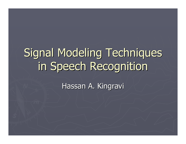# Signal Modeling Techniques in Speech Recognition

Hassan A. Kingravi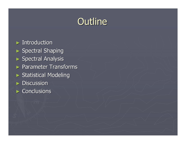# Outline

 $\blacktriangleright$  Introduction  $\blacktriangleright$  Spectral Shaping ► Spectral Analysis  $\blacktriangleright$  Parameter Transforms ► Statistical Modeling  $\blacktriangleright$  Discussion  $\blacktriangleright$  Conclusions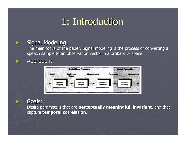# 1: Introduction 1: Introduction

### Signal Modeling:

The main focus of the paper. Signal modeling is the process of converting a speech sample to an observation vector in a probability space.

Approach:

►

►

►



### Goals:

Desire parameters that are **perceptually meaningful**, **invariant**, and that capture capture **temporal correlation temporal correlation**.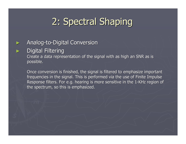# 2: Spectral Shaping 2: Spectral Shaping

#### ►> Analog-to-Digital Conversion

#### ►Digital Filtering

Create a data representation of the signal with as high an SNR as is possible.

Once conversion is finished, the signal is filtered to emphasize important frequencies in the signal. This is performed via the use of Finite Impulse Response filters. For e.g. hearing is more sensitive in the 1-KHz region of the spectrum, so this is emphasized.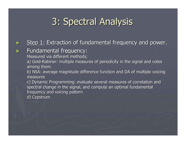# 3: Spectral Analysis

#### ►Step 1: Extraction of fundamental frequency and power.

### Fundamental frequency:

Measured via different methods;

a) Gold-Rabiner: multiple measures of periodicity in the signal and votes among them.

b) NSA: average magnitude difference function and DA of multiple voicing measures

c) Dynamic Programming: evaluate several measures of correlation and spectral change in the signal, and compute an optimal fundamental frequency and voicing pattern

d) Cepstrum

►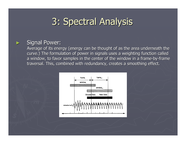# 3: Spectral Analysis 3: Spectral Analysis

### Signal Power:

►

Average of its energy (energy can be thought of as the area underneath the curve.) The formulation of power in signals uses a weighting function called a window, to favor samples in the center of the window in a frame-by-frame traversal. This, combined with redundancy, creates a smoothing effect.

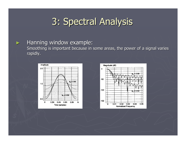# 3: Spectral Analysis 3: Spectral Analysis

### Hanning window example:

►

Smoothing is important because in some areas, the power of a signal varies rapidly.



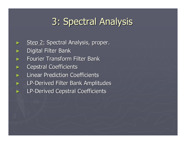# 3: Spectral Analysis 3: Spectral Analysis

►Step 2: Spectral Analysis, proper. ►Digital Filter Bank ►Fourier Transform Filter Bank ►**Cepstral Coefficients** ►Linear Prediction Coefficients ►**EXAGEE Filter Bank Amplitudes** ►**DETA:** LP-Derived Cepstral Coefficients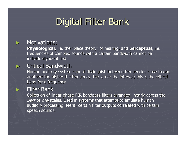# **Digital Filter Bank**

### **Motivations:**

►

►

►

**Physiological**, i.e. the "place theory" of hearing, and **perceptual**, i.e. frequencies of complex sounds with a certain bandwidth cannot be individually identified.

### Critical Bandwidth Critical Bandwidth

Human auditory system cannot distinguish between frequencies close to one another; the higher the frequency, the larger the interval; this is the critical band for a frequency.

#### Filter Bank

Collection of linear phase FIR bandpass filters arranged linearly across the Bark or *mel* scales. Used in systems that attempt to emulate human auditory processing. Merit: certain filter outputs correlated with certain speech sounds.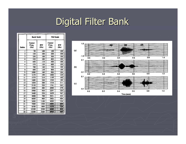# Digital Filter Bank

|                 | <b>Bark Scale</b>       |            | Mel Scale               |            |
|-----------------|-------------------------|------------|-------------------------|------------|
| Index           | Center<br>Freq.<br>(Hz) | BW<br>(Hz) | Center<br>Freq.<br>(Hz) | BW<br>(Hz) |
| ı               | 50                      | 100        | 100                     | 100        |
| 2               | 150                     | 100        | 200                     | 100        |
| 3               | 250                     | 100        | 300                     | 100        |
| 4               | 350                     | 100        | 400                     | 100        |
| 5               | 450                     | 110        | 500                     | 100        |
| 6               | 570                     | 120        | 600                     | 100        |
| 7               | 700                     | 140        | 700                     | 100        |
| 8               | 840                     | 150        | 800                     | 100        |
| 9               | 1000                    | 160        | 900                     | 100        |
| 10              | 1170                    | 190        | 1000                    | 124        |
| $\overline{11}$ | 1370                    | 210        | 1149                    | 160        |
| $\overline{12}$ | 1600                    | 240        | 1320                    | 184        |
| 13              | 1850                    | 280        | 1516                    | 211        |
| $\overline{14}$ | 2150                    | 320        | 1741                    | 242        |
| $\overline{15}$ | 2500                    | 380        | 2000                    | 278        |
| 16              | 2900                    | 450        | 2297                    | 320        |
| $\overline{17}$ | 3400                    | 550        | 2639                    | 367        |
| 18              | 4000                    | 700        | 3031                    | 422        |
| 19              | 4800                    | 900        | 3482                    | 484        |
| 20              | 5800                    | 1100       | 4000                    | 556        |
| $\overline{21}$ | 7000                    | 1300       | 4595                    | 639        |
| $\overline{22}$ | 8500                    | 1800       | 5278                    | 734        |
| $\overline{23}$ | 10500                   | 2500       | 6063                    | 843        |
| $\overline{24}$ | 13500                   | 3500       | 6964                    | 969        |

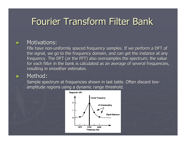# Fourier Transform Filter Bank

### **Motivations:**

►

►

FBs have non-uniformly spaced frequency samples. If we perform a DFT of the signal, we go to the frequency domain, and can get the instance at any frequency. The DFT (or the FFT) also oversamples the spectrum; the value for each filter in the bank is calculated as an average of several frequencies, resulting in smoother estimates.

#### Method:

Sample spectrum at frequencies shown in last table. Often discard lowamplitude regions using a dynamic range threshold.

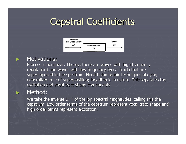# **Cepstral Coefficients**



### **Motivations:**

►

►

Process is nonlinear. Theory; there are waves with high frequency (excitation) and waves with low frequency (vocal tract) that are superimposed in the spectrum. Need holomorphic techniques obeying generalized rule of superposition; logarithmic in nature. This separates the excitation and vocal tract shape components.

### Method:

We take the inverse DFT of the log spectral magnitudes, calling this the cepstrum. Low order terms of the cepstrum represent vocal tract shape and high order terms represent excitation.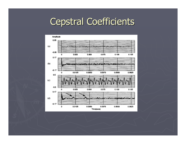### **Cepstral Coefficients**

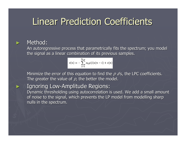## Linear Prediction Coefficients

### Method:

►

►

An autoregressive process that parametrically fits the spectrum; you model the signal as a linear combination of its previous samples.

$$
s(n) = -\sum_{i=1}^{N_{\text{LP}}} a_{\text{LP}}(i) s(n-i) + e(n)
$$

Minimize the error of this equation to find the  $\rho$  a's, the LPC coefficients. The greater the value of  $\rho$ , the better the model.

### **> Ignoring Low-Amplitude Regions:**

Dynamic thresholding using autocorrelation is used. We add a small amount of noise to the signal, which prevents the LP model from modelling sharp nulls in the spectrum.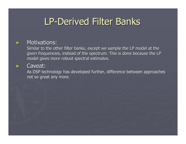# LP-Derived Filter Banks

#### **Motivations:**

Similar to the other filter banks, except we sample the LP model at the given frequencies, instead of the spectrum. This is done because the LP model gives more robust spectral estimates.

#### Caveat:

►

►

As DSP technology has developed further, difference between approaches not so great any more.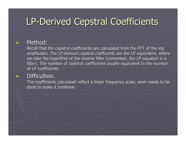# LP-Derived Cepstral Coefficients

### Method:

►

►

Recall that the cepstral coefficients are calculated from the FFT of the log amplitudes. The LP-derived cepstral coefficents are the LP equivalent, where we take the logarithm of the inverse filter (remember, the LP equation is a filter). The number of cepstral coefficients usually equivalent to the number of LP coefficients.

#### Difficulties:

The coefficients calculated reflect a linear frequency scale; work needs to be done to make it nonlinear.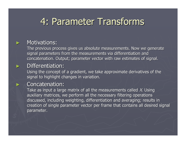# 4: Parameter Transforms 4: Parameter Transforms

### **Motivations:**

►

►

►

The previous process gives us absolute measurements. Now we generate signal parameters from the measurements via differentiation and concatenation. Output; parameter vector with raw estimates of signal.

### Differentiation:

Using the concept of a gradient, we take approximate derivatives of the signal to highlight changes in variation.

#### Concatenation:

Take as input a large matrix of all the measurements called X. Using  $\,$ auxiliary matrices, we perform all the necessary filtering operations discussed, including weighting, differentiation and averaging; results in creation of single parameter vector per frame that contains all desired signal parameter.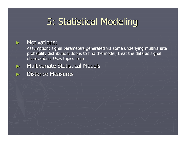# 5: Statistical Modeling

### **Motivations:**

►

►

►

Assumption; signal parameters generated via some underlying multivariate probability distribution. Job is to find the model; treat the data as signal observations. Uses topics from:

### **Multivariate Statistical Models**

**Distance Measures**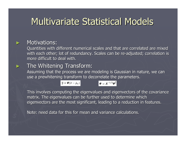# **Multivariate Statistical Models**

### **Motivations:**

►

►

Quantities with different numerical scales and that are correlated are mixed with each other; lot of redundancy. Scales can be re-adjusted; correlation is more difficult to deal with.

### The Whitening Transform:

Assuming that the process we are modeling is Gaussian in nature, we can use a prewhitening transform to decorrelate the parameters.

$$
\overline{y} = \boldsymbol{\varPsi}(\bar{\nu} - \bar{\mu}_{\nu}) \qquad \qquad \boldsymbol{\varPsi} = \boldsymbol{\Lambda}^{-1/2} \boldsymbol{\varPhi}^{\dagger}
$$

This involves computing the eigenvalues and eigenvectors of the covariance matrix. The eigenvalues can be further used to determine which eigenvectors are the most significant, leading to a reduction in features.

Note: need data for this for mean and variance calculations.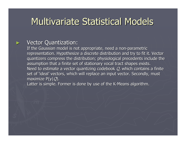# **Multivariate Statistical Models**

### Vector Quantization:

►

If the Gaussian model is not appropriate, need a non-parametric representation. Hypothesize a discrete distribution and try to fit it. Vector quantizers compress the distribution; physiological precedents include the assumption that a finite set of stationary vocal tract shapes exists. Need to estimate a vector quantizing codebook  $Q$ , which contains a finite set of 'ideal' vectors, which will replace an input vector. Secondly, must maximize P(y|*Q*).

Latter is simple. Former is done by use of the K-Means algorithm.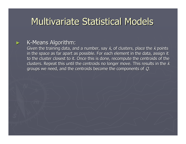# **Multivariate Statistical Models**

### K-Means Algorithm:

►

Given the training data, and a number, say  $k$ , of clusters, place the  $k$  points in the space as far apart as possible. For each element in the data, assign it to the cluster closest to it. Once this is done, recompute the centroids of the clusters. Repeat this until the centroids no longer move. This results in the  $\kappa$ groups we need, and the centroids become the components of  $\emph{Q}.$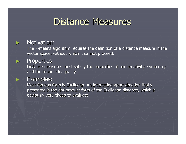### Distance Measures

### Motivation:

►

►

►

The k-means algorithm requires the definition of a distance measure in the vector space, without which it cannot proceed.

#### Properties:

Distance measures must satisfy the properties of nonnegativity, symmetry, and the triangle inequality.

#### Examples:

Most famous form is Euclidean. An interesting approximation that's presented is the dot product form of the Euclidean distance, which is obviously very cheap to evaluate.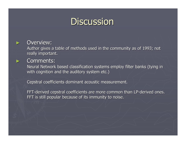### **Discussion**

#### Overview:

►

►

Author gives a table of methods used in the community as of 1993; not really important.

#### Comments:

Neural Network based classification systems employ filter banks (tying in with cognition and the auditory system etc.)

Cepstral coefficients dominant acoustic measurement.

FFT-derived cepstral coefficients are more common than LP-derived ones. FFT is still popular because of its immunity to noise.